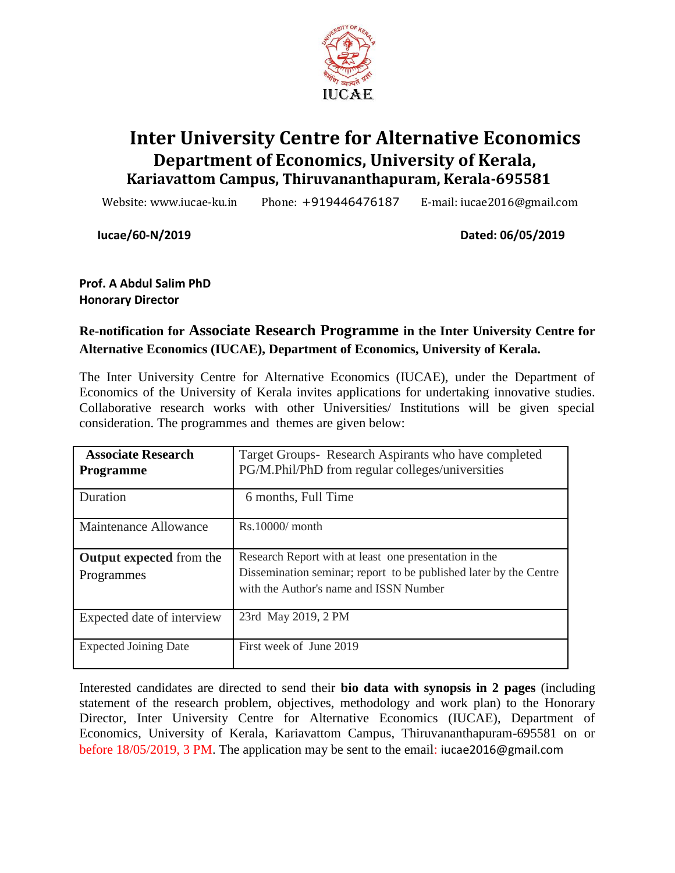

# **Inter University Centre for Alternative Economics Department of Economics, University of Kerala, Kariavattom Campus, Thiruvananthapuram, Kerala-695581**

Website: www.iucae-ku.in Phone: +919446476187 E-mail: iucae2016@gmail.com

**Iucae/60-N/2019 Dated: 06/05/2019**

**Prof. A Abdul Salim PhD Honorary Director**

#### **Re-notification for Associate Research Programme in the Inter University Centre for Alternative Economics (IUCAE), Department of Economics, University of Kerala.**

The Inter University Centre for Alternative Economics (IUCAE), under the Department of Economics of the University of Kerala invites applications for undertaking innovative studies. Collaborative research works with other Universities/ Institutions will be given special consideration. The programmes and themes are given below:

| <b>Associate Research</b><br><b>Programme</b> | Target Groups-Research Aspirants who have completed<br>PG/M.Phil/PhD from regular colleges/universities                                                              |
|-----------------------------------------------|----------------------------------------------------------------------------------------------------------------------------------------------------------------------|
| Duration                                      | 6 months, Full Time                                                                                                                                                  |
| Maintenance Allowance                         | $Rs.10000/$ month                                                                                                                                                    |
| <b>Output expected from the</b><br>Programmes | Research Report with at least one presentation in the<br>Dissemination seminar; report to be published later by the Centre<br>with the Author's name and ISSN Number |
| Expected date of interview                    | 23rd May 2019, 2 PM                                                                                                                                                  |
| <b>Expected Joining Date</b>                  | First week of June 2019                                                                                                                                              |

Interested candidates are directed to send their **bio data with synopsis in 2 pages** (including statement of the research problem, objectives, methodology and work plan) to the Honorary Director, Inter University Centre for Alternative Economics (IUCAE), Department of Economics, University of Kerala, Kariavattom Campus, Thiruvananthapuram-695581 on or before 18/05/2019, 3 PM. The application may be sent to the email: iucae2016@gmail.com